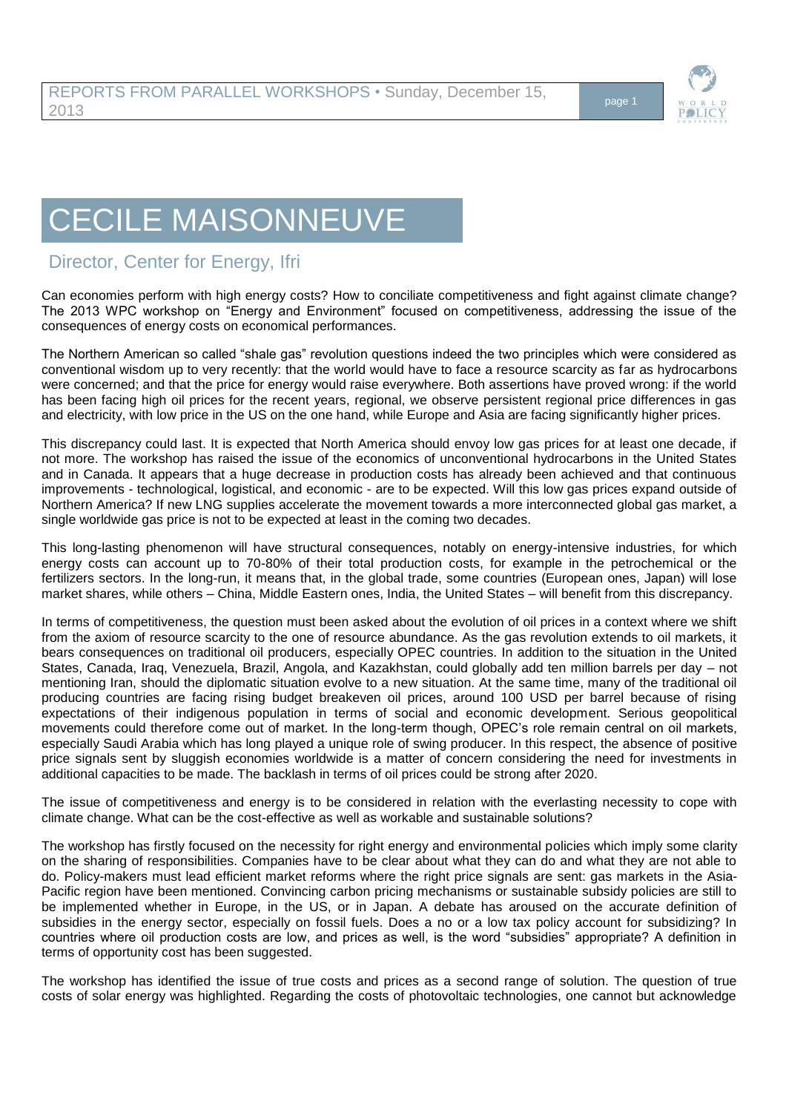

## CECILE MAISONNEUVE

## Director, Center for Energy, Ifri

Can economies perform with high energy costs? How to conciliate competitiveness and fight against climate change? The 2013 WPC workshop on "Energy and Environment" focused on competitiveness, addressing the issue of the consequences of energy costs on economical performances.

The Northern American so called "shale gas" revolution questions indeed the two principles which were considered as conventional wisdom up to very recently: that the world would have to face a resource scarcity as far as hydrocarbons were concerned; and that the price for energy would raise everywhere. Both assertions have proved wrong: if the world has been facing high oil prices for the recent years, regional, we observe persistent regional price differences in gas and electricity, with low price in the US on the one hand, while Europe and Asia are facing significantly higher prices.

This discrepancy could last. It is expected that North America should envoy low gas prices for at least one decade, if not more. The workshop has raised the issue of the economics of unconventional hydrocarbons in the United States and in Canada. It appears that a huge decrease in production costs has already been achieved and that continuous improvements - technological, logistical, and economic - are to be expected. Will this low gas prices expand outside of Northern America? If new LNG supplies accelerate the movement towards a more interconnected global gas market, a single worldwide gas price is not to be expected at least in the coming two decades.

This long-lasting phenomenon will have structural consequences, notably on energy-intensive industries, for which energy costs can account up to 70-80% of their total production costs, for example in the petrochemical or the fertilizers sectors. In the long-run, it means that, in the global trade, some countries (European ones, Japan) will lose market shares, while others – China, Middle Eastern ones, India, the United States – will benefit from this discrepancy.

In terms of competitiveness, the question must been asked about the evolution of oil prices in a context where we shift from the axiom of resource scarcity to the one of resource abundance. As the gas revolution extends to oil markets, it bears consequences on traditional oil producers, especially OPEC countries. In addition to the situation in the United States, Canada, Iraq, Venezuela, Brazil, Angola, and Kazakhstan, could globally add ten million barrels per day – not mentioning Iran, should the diplomatic situation evolve to a new situation. At the same time, many of the traditional oil producing countries are facing rising budget breakeven oil prices, around 100 USD per barrel because of rising expectations of their indigenous population in terms of social and economic development. Serious geopolitical movements could therefore come out of market. In the long-term though, OPEC's role remain central on oil markets, especially Saudi Arabia which has long played a unique role of swing producer. In this respect, the absence of positive price signals sent by sluggish economies worldwide is a matter of concern considering the need for investments in additional capacities to be made. The backlash in terms of oil prices could be strong after 2020.

The issue of competitiveness and energy is to be considered in relation with the everlasting necessity to cope with climate change. What can be the cost-effective as well as workable and sustainable solutions?

The workshop has firstly focused on the necessity for right energy and environmental policies which imply some clarity on the sharing of responsibilities. Companies have to be clear about what they can do and what they are not able to do. Policy-makers must lead efficient market reforms where the right price signals are sent: gas markets in the Asia-Pacific region have been mentioned. Convincing carbon pricing mechanisms or sustainable subsidy policies are still to be implemented whether in Europe, in the US, or in Japan. A debate has aroused on the accurate definition of subsidies in the energy sector, especially on fossil fuels. Does a no or a low tax policy account for subsidizing? In countries where oil production costs are low, and prices as well, is the word "subsidies" appropriate? A definition in terms of opportunity cost has been suggested.

The workshop has identified the issue of true costs and prices as a second range of solution. The question of true costs of solar energy was highlighted. Regarding the costs of photovoltaic technologies, one cannot but acknowledge